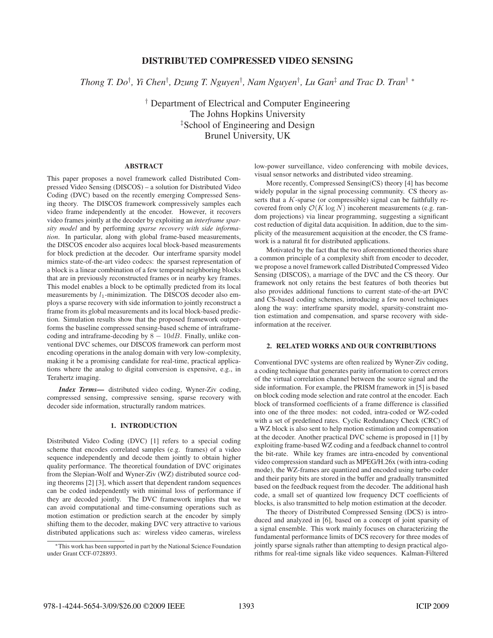# DISTRIBUTED COMPRESSED VIDEO SENSING

*Thong T. Do*† *, Yi Chen*† *, Dzung T. Nguyen*† *, Nam Nguyen*† *, Lu Gan*‡ *and Trac D. Tran*† ∗

† Department of Electrical and Computer Engineering The Johns Hopkins University ‡ School of Engineering and Design Brunel University, UK

## **ABSTRACT**

This paper proposes a novel framework called Distributed Compressed Video Sensing (DISCOS) – a solution for Distributed Video Coding (DVC) based on the recently emerging Compressed Sensing theory. The DISCOS framework compressively samples each video frame independently at the encoder. However, it recovers video frames jointly at the decoder by exploiting an *interframe sparsity model* and by performing *sparse recovery with side information*. In particular, along with global frame-based measurements, the DISCOS encoder also acquires local block-based measurements for block prediction at the decoder. Our interframe sparsity model mimics state-of-the-art video codecs: the sparsest representation of a block is a linear combination of a few temporal neighboring blocks that are in previously reconstructed frames or in nearby key frames. This model enables a block to be optimally predicted from its local measurements by  $l_1$ -minimization. The DISCOS decoder also employs a sparse recovery with side information to jointly reconstruct a frame from its global measurements and its local block-based prediction. Simulation results show that the proposed framework outperforms the baseline compressed sensing-based scheme of intraframecoding and intraframe-decoding by  $8 - 10dB$ . Finally, unlike conventional DVC schemes, our DISCOS framework can perform most encoding operations in the analog domain with very low-complexity, making it be a promising candidate for real-time, practical applications where the analog to digital conversion is expensive, e.g., in Terahertz imaging.

*Index Terms*— distributed video coding, Wyner-Ziv coding, compressed sensing, compressive sensing, sparse recovery with decoder side information, structurally random matrices.

# 1. INTRODUCTION

Distributed Video Coding (DVC) [1] refers to a special coding scheme that encodes correlated samples (e.g. frames) of a video sequence independently and decode them jointly to obtain higher quality performance. The theoretical foundation of DVC originates from the Slepian-Wolf and Wyner-Ziv (WZ) distributed source coding theorems [2] [3], which assert that dependent random sequences can be coded independently with minimal loss of performance if they are decoded jointly. The DVC framework implies that we can avoid computational and time-consuming operations such as motion estimation or prediction search at the encoder by simply shifting them to the decoder, making DVC very attractive to various distributed applications such as: wireless video cameras, wireless

low-power surveillance, video conferencing with mobile devices, visual sensor networks and distributed video streaming.

More recently, Compressed Sensing(CS) theory [4] has become widely popular in the signal processing community. CS theory asserts that a K-sparse (or compressible) signal can be faithfully recovered from only  $\mathcal{O}(K \log N)$  incoherent measurements (e.g. random projections) via linear programming, suggesting a significant cost reduction of digital data acquisition. In addition, due to the simplicity of the measurement acquisition at the encoder, the CS framework is a natural fit for distributed applications.

Motivated by the fact that the two aforementioned theories share a common principle of a complexity shift from encoder to decoder, we propose a novel framework called Distributed Compressed Video Sensing (DISCOS), a marriage of the DVC and the CS theory. Our framework not only retains the best features of both theories but also provides additional functions to current state-of-the-art DVC and CS-based coding schemes, introducing a few novel techniques along the way: interframe sparsity model, sparsity-constraint motion estimation and compensation, and sparse recovery with sideinformation at the receiver.

## 2. RELATED WORKS AND OUR CONTRIBUTIONS

Conventional DVC systems are often realized by Wyner-Ziv coding, a coding technique that generates parity information to correct errors of the virtual correlation channel between the source signal and the side information. For example, the PRISM framework in [5] is based on block coding mode selection and rate control at the encoder. Each block of transformed coefficients of a frame difference is classified into one of the three modes: not coded, intra-coded or WZ-coded with a set of predefined rates. Cyclic Redundancy Check (CRC) of a WZ block is also sent to help motion estimation and compensation at the decoder. Another practical DVC scheme is proposed in [1] by exploiting frame-based WZ coding and a feedback channel to control the bit-rate. While key frames are intra-encoded by conventional video compression standard such as MPEG/H.26x (with intra-coding mode), the WZ-frames are quantized and encoded using turbo coder and their parity bits are stored in the buffer and gradually transmitted based on the feedback request from the decoder. The additional hash code, a small set of quantized low frequency DCT coefficients of blocks, is also transmitted to help motion estimation at the decoder.

The theory of Distributed Compressed Sensing (DCS) is introduced and analyzed in [6], based on a concept of joint sparsity of a signal ensemble. This work mainly focuses on characterizing the fundamental performance limits of DCS recovery for three modes of jointly sparse signals rather than attempting to design practical algorithms for real-time signals like video sequences. Kalman-Filtered

<sup>∗</sup>This work has been supported in part by the National Science Foundation under Grant CCF-0728893.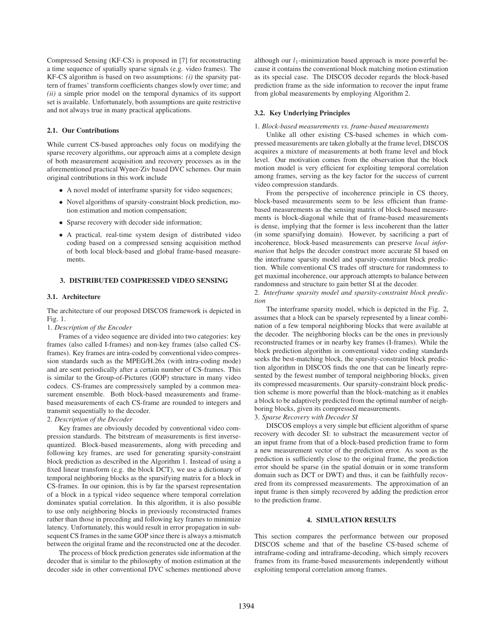Compressed Sensing (KF-CS) is proposed in [7] for reconstructing a time sequence of spatially sparse signals (e.g. video frames). The KF-CS algorithm is based on two assumptions: *(i)* the sparsity pattern of frames' transform coefficients changes slowly over time; and *(ii)* a simple prior model on the temporal dynamics of its support set is available. Unfortunately, both assumptions are quite restrictive and not always true in many practical applications.

### 2.1. Our Contributions

While current CS-based approaches only focus on modifying the sparse recovery algorithms, our approach aims at a complete design of both measurement acquisition and recovery processes as in the aforementioned practical Wyner-Ziv based DVC schemes. Our main original contributions in this work include

- A novel model of interframe sparsity for video sequences;
- Novel algorithms of sparsity-constraint block prediction, motion estimation and motion compensation;
- Sparse recovery with decoder side information;
- A practical, real-time system design of distributed video coding based on a compressed sensing acquisition method of both local block-based and global frame-based measurements.

### 3. DISTRIBUTED COMPRESSED VIDEO SENSING

### 3.1. Architecture

The architecture of our proposed DISCOS framework is depicted in Fig. 1.

### 1. *Description of the Encoder*

Frames of a video sequence are divided into two categories: key frames (also called I-frames) and non-key frames (also called CSframes). Key frames are intra-coded by conventional video compression standards such as the MPEG/H.26x (with intra-coding mode) and are sent periodically after a certain number of CS-frames. This is similar to the Group-of-Pictures (GOP) structure in many video codecs. CS-frames are compressively sampled by a common measurement ensemble. Both block-based measurements and framebased measurements of each CS-frame are rounded to integers and transmit sequentially to the decoder.

## 2. *Description of the Decoder*

Key frames are obviously decoded by conventional video compression standards. The bitstream of measurements is first inversequantized. Block-based measurements, along with preceding and following key frames, are used for generating sparsity-constraint block prediction as described in the Algorithm 1. Instead of using a fixed linear transform (e.g. the block DCT), we use a dictionary of temporal neighboring blocks as the sparsifying matrix for a block in CS-frames. In our opinion, this is by far the sparsest representation of a block in a typical video sequence where temporal correlation dominates spatial correlation. In this algorithm, it is also possible to use only neighboring blocks in previously reconstructed frames rather than those in preceding and following key frames to minimize latency. Unfortunately, this would result in error propagation in subsequent CS frames in the same GOP since there is always a mismatch between the original frame and the reconstructed one at the decoder.

The process of block prediction generates side information at the decoder that is similar to the philosophy of motion estimation at the decoder side in other conventional DVC schemes mentioned above although our  $l_1$ -minimization based approach is more powerful because it contains the conventional block matching motion estimation as its special case. The DISCOS decoder regards the block-based prediction frame as the side information to recover the input frame from global measurements by employing Algorithm 2.

#### 3.2. Key Underlying Principles

#### 1. *Block-based measurements vs. frame-based measurements*

Unlike all other existing CS-based schemes in which compressed measurements are taken globally at the frame level, DISCOS acquires a mixture of measurements at both frame level and block level. Our motivation comes from the observation that the block motion model is very efficient for exploiting temporal correlation among frames, serving as the key factor for the success of current video compression standards.

From the perspective of incoherence principle in CS theory, block-based measurements seem to be less efficient than framebased measurements as the sensing matrix of block-based measurements is block-diagonal while that of frame-based measurements is dense, implying that the former is less incoherent than the latter (in some sparsifying domain). However, by sacrificing a part of incoherence, block-based measurements can preserve *local information* that helps the decoder construct more accurate SI based on the interframe sparsity model and sparsity-constraint block prediction. While conventional CS trades off structure for randomness to get maximal incoherence, our approach attempts to balance between randomness and structure to gain better SI at the decoder.

2. *Interframe sparsity model and sparsity-constraint block prediction*

The interframe sparsity model, which is depicted in the Fig. 2, assumes that a block can be sparsely represented by a linear combination of a few temporal neighboring blocks that were available at the decoder. The neighboring blocks can be the ones in previously reconstructed frames or in nearby key frames (I-frames). While the block prediction algorithm in conventional video coding standards seeks the best-matching block, the sparsity-constraint block prediction algorithm in DISCOS finds the one that can be linearly represented by the fewest number of temporal neighboring blocks, given its compressed measurements. Our sparsity-constraint block prediction scheme is more powerful than the block-matching as it enables a block to be adaptively predicted from the optimal number of neighboring blocks, given its compressed measurements.

### 3. *Sparse Recovery with Decoder SI*

DISCOS employs a very simple but efficient algorithm of sparse recovery with decoder SI: to substract the measurement vector of an input frame from that of a block-based prediction frame to form a new measurement vector of the prediction error. As soon as the prediction is sufficiently close to the original frame, the prediction error should be sparse (in the spatial domain or in some transform domain such as DCT or DWT) and thus, it can be faithfully recovered from its compressed measurements. The approximation of an input frame is then simply recovered by adding the prediction error to the prediction frame.

#### 4. SIMULATION RESULTS

This section compares the performance between our proposed DISCOS scheme and that of the baseline CS-based scheme of intraframe-coding and intraframe-decoding, which simply recovers frames from its frame-based measurements independently without exploiting temporal correlation among frames.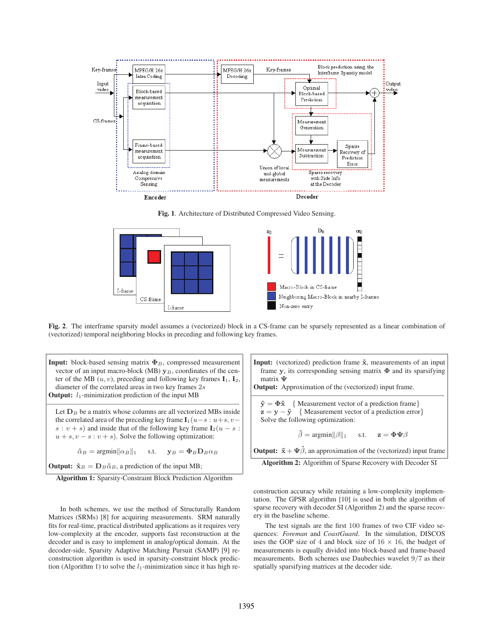

Fig. 1. Architecture of Distributed Compressed Video Sensing.



Fig. 2. The interframe sparsity model assumes a (vectorized) block in a CS-frame can be sparsely represented as a linear combination of (vectorized) temporal neighboring blocks in preceding and following key frames.

**Input:** block-based sensing matrix  $\Phi_B$ , compressed measurement vector of an input macro-block (MB)  $y_B$ , coordinates of the center of the MB  $(u, v)$ , preceding and following key frames  $I_1$ ,  $I_2$ , diameter of the correlated areas in two key frames 2<sup>s</sup> **Output:**  $l_1$ -minimization prediction of the input MB

———————————————————————————-

Let  $D_B$  be a matrix whose columns are all vectorized MBs inside the correlated area of the preceding key frame  $I_1(u-s:u+s,v$  $s : v + s$  and inside that of the following key frame  $I_2(u - s)$ :  $u + s, v - s : v + s$ . Solve the following optimization:

> $\hat{\alpha}_B = \text{argmin} ||\alpha_B||$ s.t.  $\mathbf{y}_B = \mathbf{\Phi}_B \mathbf{D}_B \alpha_B$

**Output:**  $\hat{\mathbf{x}}_B = \mathbf{D}_B \hat{\alpha}_B$ , a prediction of the input MB;



In both schemes, we use the method of Structurally Random Matrices (SRMs) [8] for acquiring measurements. SRM naturally fits for real-time, practical distributed applications as it requires very low-complexity at the encoder, supports fast reconstruction at the decoder and is easy to implement in analog/optical domain. At the decoder-side, Sparsity Adaptive Matching Pursuit (SAMP) [9] reconstruction algorithm is used in sparsity-constraint block prediction (Algorithm 1) to solve the  $l_1$ -minimization since it has high reInput: (vectorized) prediction frame  $\tilde{x}$ , measurements of an input frame **y**, its corresponding sensing matrix **Φ** and its sparsifying matrix **Ψ**

———————————————————————————-

Output: Approximation of the (vectorized) input frame.

 $\tilde{\mathbf{y}} = \mathbf{\Phi}\tilde{\mathbf{x}}$  { Measurement vector of a prediction frame}  $z = y - \tilde{y}$  { Measurement vector of a prediction error} Solve the following optimization:

$$
\hat{\beta} = \operatorname{argmin} ||\beta||_1 \quad \text{s.t.} \quad \mathbf{z} = \mathbf{\Phi} \mathbf{\Psi} \beta
$$

**Output:**  $\tilde{\mathbf{x}} + \Psi \hat{\boldsymbol{\beta}}$ , an approximation of the (vectorized) input frame

Algorithm 2: Algorithm of Sparse Recovery with Decoder SI

construction accuracy while retaining a low-complexity implementation. The GPSR algorithm [10] is used in both the algorithm of sparse recovery with decoder SI (Algorithm 2) and the sparse recovery in the baseline scheme.

The test signals are the first 100 frames of two CIF video sequences: *Foreman* and *CoastGuard*. In the simulation, DISCOS uses the GOP size of 4 and block size of  $16 \times 16$ , the budget of measurements is equally divided into block-based and frame-based measurements. Both schemes use Daubechies wavelet 9/7 as their spatially sparsifying matrices at the decoder side.